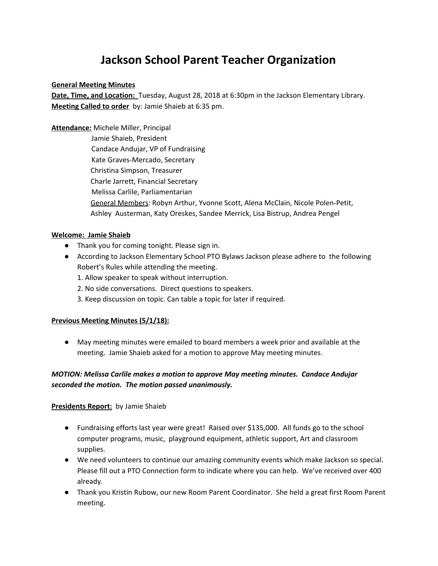# **Jackson School Parent Teacher Organization**

#### **General Meeting Minutes**

**Date, Time, and Location:** Tuesday, August 28, 2018 at 6:30pm in the Jackson Elementary Library. **Meeting Called to order** by: Jamie Shaieb at 6:35 pm.

**Attendance:** Michele Miller, Principal

Jamie Shaieb, President Candace Andujar, VP of Fundraising Kate Graves-Mercado, Secretary Christina Simpson, Treasurer Charle Jarrett, Financial Secretary Melissa Carlile, Parliamentarian General Members: Robyn Arthur, Yvonne Scott, Alena McClain, Nicole Polen-Petit, Ashley Austerman, Katy Oreskes, Sandee Merrick, Lisa Bistrup, Andrea Pengel

## **Welcome: Jamie Shaieb**

- Thank you for coming tonight. Please sign in.
- According to Jackson Elementary School PTO Bylaws Jackson please adhere to the following Robert's Rules while attending the meeting.
	- 1. Allow speaker to speak without interruption.
	- 2. No side conversations. Direct questions to speakers.
	- 3. Keep discussion on topic. Can table a topic for later if required.

#### **Previous Meeting Minutes (5/1/18):**

● May meeting minutes were emailed to board members a week prior and available at the meeting. Jamie Shaieb asked for a motion to approve May meeting minutes.

## *MOTION: Melissa Carlile makes a motion to approve May meeting minutes. Candace Andujar seconded the motion. The motion passed unanimously.*

#### **Presidents Report:** by Jamie Shaieb

- Fundraising efforts last year were great! Raised over \$135,000. All funds go to the school computer programs, music, playground equipment, athletic support, Art and classroom supplies.
- We need volunteers to continue our amazing community events which make Jackson so special. Please fill out a PTO Connection form to indicate where you can help. We've received over 400 already.
- Thank you Kristin Rubow, our new Room Parent Coordinator. She held a great first Room Parent meeting.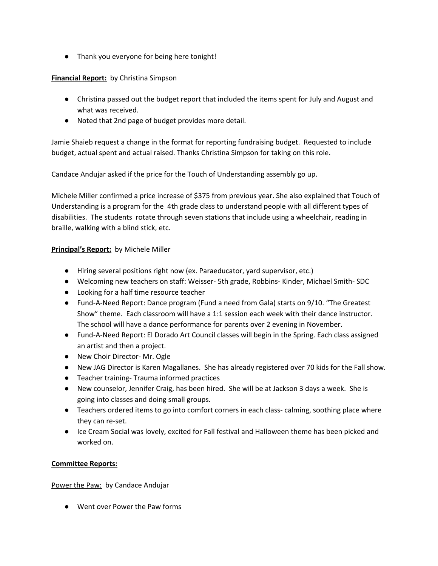● Thank you everyone for being here tonight!

**Financial Report:** by Christina Simpson

- Christina passed out the budget report that included the items spent for July and August and what was received.
- Noted that 2nd page of budget provides more detail.

Jamie Shaieb request a change in the format for reporting fundraising budget. Requested to include budget, actual spent and actual raised. Thanks Christina Simpson for taking on this role.

Candace Andujar asked if the price for the Touch of Understanding assembly go up.

Michele Miller confirmed a price increase of \$375 from previous year. She also explained that Touch of Understanding is a program for the 4th grade class to understand people with all different types of disabilities. The students rotate through seven stations that include using a wheelchair, reading in braille, walking with a blind stick, etc.

## **Principal's Report:** by Michele Miller

- Hiring several positions right now (ex. Paraeducator, yard supervisor, etc.)
- Welcoming new teachers on staff: Weisser- 5th grade, Robbins- Kinder, Michael Smith- SDC
- Looking for a half time resource teacher
- Fund-A-Need Report: Dance program (Fund a need from Gala) starts on 9/10. "The Greatest Show" theme. Each classroom will have a 1:1 session each week with their dance instructor. The school will have a dance performance for parents over 2 evening in November.
- Fund-A-Need Report: El Dorado Art Council classes will begin in the Spring. Each class assigned an artist and then a project.
- New Choir Director- Mr. Ogle
- New JAG Director is Karen Magallanes. She has already registered over 70 kids for the Fall show.
- Teacher training- Trauma informed practices
- New counselor, Jennifer Craig, has been hired. She will be at Jackson 3 days a week. She is going into classes and doing small groups.
- Teachers ordered items to go into comfort corners in each class- calming, soothing place where they can re-set.
- Ice Cream Social was lovely, excited for Fall festival and Halloween theme has been picked and worked on.

#### **Committee Reports:**

Power the Paw: by Candace Andujar

● Went over Power the Paw forms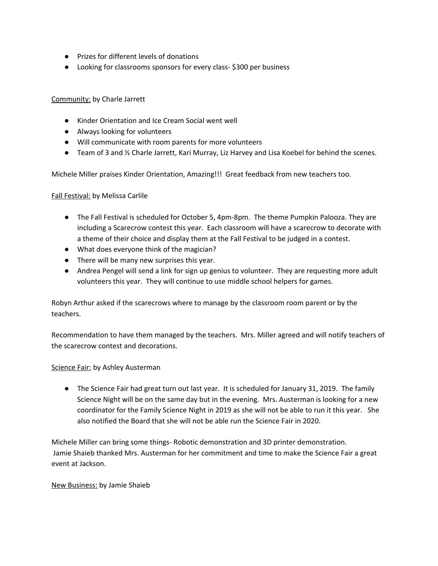- Prizes for different levels of donations
- Looking for classrooms sponsors for every class- \$300 per business

#### Community: by Charle Jarrett

- Kinder Orientation and Ice Cream Social went well
- Always looking for volunteers
- Will communicate with room parents for more volunteers
- Team of 3 and ½ Charle Jarrett, Kari Murray, Liz Harvey and Lisa Koebel for behind the scenes.

Michele Miller praises Kinder Orientation, Amazing!!! Great feedback from new teachers too.

#### Fall Festival: by Melissa Carlile

- The Fall Festival is scheduled for October 5, 4pm-8pm. The theme Pumpkin Palooza. They are including a Scarecrow contest this year. Each classroom will have a scarecrow to decorate with a theme of their choice and display them at the Fall Festival to be judged in a contest.
- What does everyone think of the magician?
- There will be many new surprises this year.
- Andrea Pengel will send a link for sign up genius to volunteer. They are requesting more adult volunteers this year. They will continue to use middle school helpers for games.

Robyn Arthur asked if the scarecrows where to manage by the classroom room parent or by the teachers.

Recommendation to have them managed by the teachers. Mrs. Miller agreed and will notify teachers of the scarecrow contest and decorations.

#### Science Fair: by Ashley Austerman

● The Science Fair had great turn out last year. It is scheduled for January 31, 2019. The family Science Night will be on the same day but in the evening. Mrs. Austerman is looking for a new coordinator for the Family Science Night in 2019 as she will not be able to run it this year. She also notified the Board that she will not be able run the Science Fair in 2020.

Michele Miller can bring some things- Robotic demonstration and 3D printer demonstration. Jamie Shaieb thanked Mrs. Austerman for her commitment and time to make the Science Fair a great event at Jackson.

#### New Business: by Jamie Shaieb